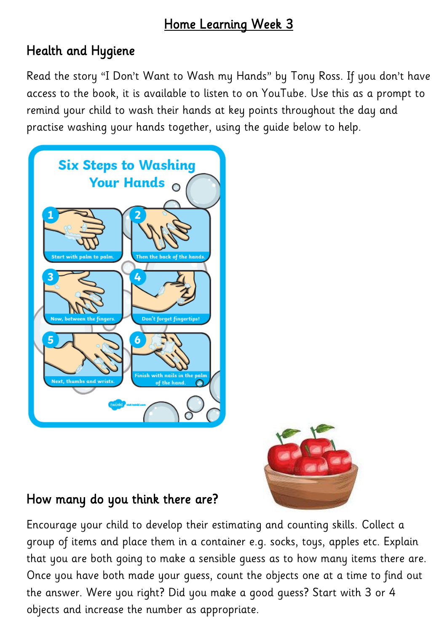### Home Learning Week 3

# Health and Hygiene

Read the story "I Don't Want to Wash my Hands" by Tony Ross. If you don't have access to the book, it is available to listen to on YouTube. Use this as a prompt to remind your child to wash their hands at key points throughout the day and practise washing your hands together, using the guide below to help.





# How many do you think there are?

Encourage your child to develop their estimating and counting skills. Collect a group of items and place them in a container e.g. socks, toys, apples etc. Explain that you are both going to make a sensible guess as to how many items there are. Once you have both made your guess, count the objects one at a time to find out the answer. Were you right? Did you make a good guess? Start with 3 or 4 objects and increase the number as appropriate.